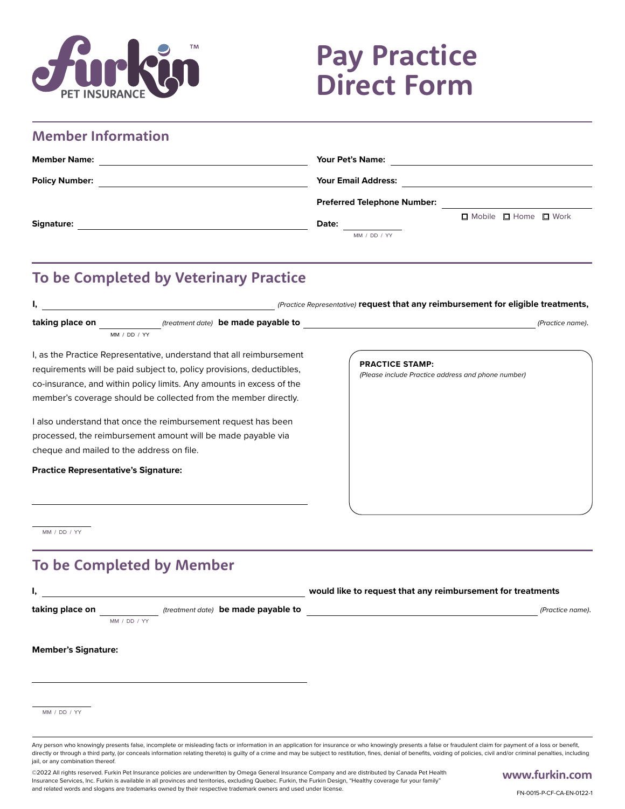

# **Pay Practice Direct Form**

| <b>Member Information</b> |                                                                |  |
|---------------------------|----------------------------------------------------------------|--|
| <b>Member Name:</b>       | <b>Your Pet's Name:</b>                                        |  |
| <b>Policy Number:</b>     | <b>Your Email Address:</b>                                     |  |
|                           | <b>Preferred Telephone Number:</b>                             |  |
| <b>Signature:</b>         | $\Box$ Mobile $\Box$ Home $\Box$ Work<br>Date:<br>MM / DD / YY |  |
|                           |                                                                |  |

#### **To be Completed by Veterinary Practice**

| I,                                                                                                                                                                                                                                                                                       |                                                                                                                                | (Practice Representative) request that any reimbursement for eligible treatments, |                  |  |
|------------------------------------------------------------------------------------------------------------------------------------------------------------------------------------------------------------------------------------------------------------------------------------------|--------------------------------------------------------------------------------------------------------------------------------|-----------------------------------------------------------------------------------|------------------|--|
| taking place on                                                                                                                                                                                                                                                                          | (treatment date) be made payable to                                                                                            |                                                                                   | (Practice name). |  |
| MM / DD / YY                                                                                                                                                                                                                                                                             |                                                                                                                                |                                                                                   |                  |  |
| I, as the Practice Representative, understand that all reimbursement<br>requirements will be paid subject to, policy provisions, deductibles,<br>co-insurance, and within policy limits. Any amounts in excess of the<br>member's coverage should be collected from the member directly. |                                                                                                                                | <b>PRACTICE STAMP:</b><br>(Please include Practice address and phone number)      |                  |  |
| cheque and mailed to the address on file.                                                                                                                                                                                                                                                | I also understand that once the reimbursement request has been<br>processed, the reimbursement amount will be made payable via |                                                                                   |                  |  |
| <b>Practice Representative's Signature:</b>                                                                                                                                                                                                                                              |                                                                                                                                |                                                                                   |                  |  |
|                                                                                                                                                                                                                                                                                          |                                                                                                                                |                                                                                   |                  |  |

MM / DD / YY

### **To be Completed by Member**

| ٠.                         |              |  |                                     | would like to request that any reimbursement for treatments |                  |
|----------------------------|--------------|--|-------------------------------------|-------------------------------------------------------------|------------------|
| taking place on            |              |  | (treatment date) be made payable to |                                                             | (Practice name). |
|                            | MM / DD / YY |  |                                     |                                                             |                  |
| <b>Member's Signature:</b> |              |  |                                     |                                                             |                  |
|                            |              |  |                                     |                                                             |                  |
| MM / DD / YY               |              |  |                                     |                                                             |                  |
|                            |              |  |                                     |                                                             |                  |

Any person who knowingly presents false, incomplete or misleading facts or information in an application for insurance or who knowingly presents a false or fraudulent claim for payment of a loss or benefit. directly or through a third party, (or conceals information relating thereto) is guilty of a crime and may be subject to restitution, fines, denial of benefits, voiding of policies, civil and/or criminal penalties, includi jail, or any combination thereof.

©2022 All rights reserved. Furkin Pet Insurance policies are underwritten by Omega General Insurance Company and are distributed by Canada Pet Health Insurance Services, Inc. Furkin is available in all provinces and territories, excluding Quebec. Furkin, the Furkin Design, "Healthy coverage fur your family" and related words and slogans are trademarks owned by their respective trademark owners and used under license.